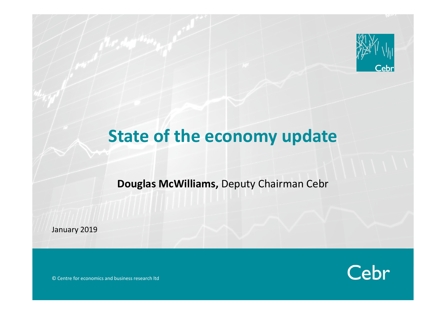

# **State of the economy update**

**Douglas McWilliams,** Deputy Chairman Cebr

January 2019

Cebr

© Centre for economics and business research ltd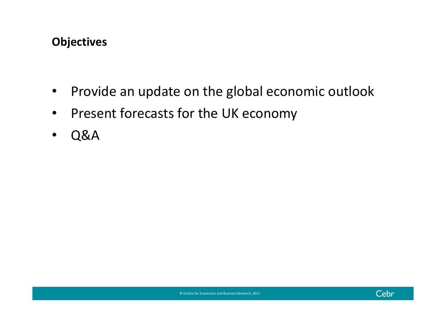### **Objectives**

- $\bullet$ • Provide an update on the global economic outlook
- $\bullet$ • Present forecasts for the UK economy
- $\bullet$ Q&A

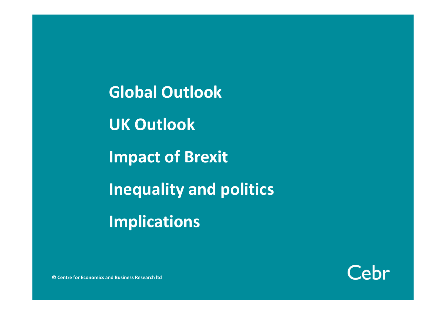**Global OutlookUK Outlook Impact of Brexit Inequality and politics Implications**



**© Centre for Economics and Business Research ltd**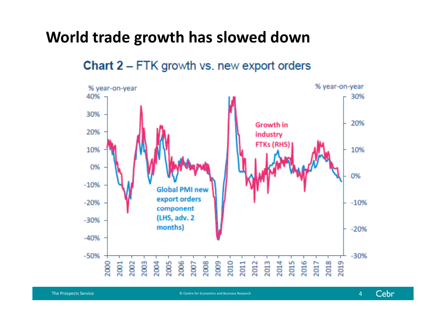# **World trade growth has slowed down**



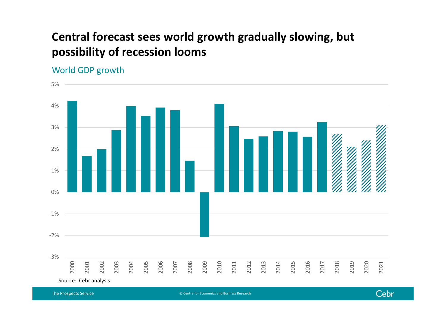## **Central forecast sees world growth gradually slowing, but possibility of recession looms**

#### World GDP growth



© Centre for Economics and Business Research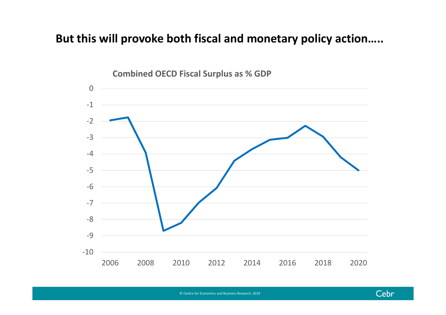#### **But this will provoke both fiscal and monetary policy action…..**



**Combined OECD Fiscal Surplus as % GDP**

© Centre for Economics and Business Research, 2019

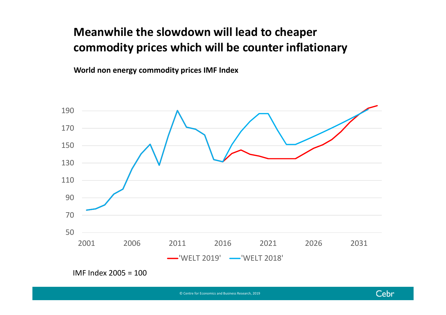# **Meanwhile the slowdown will lead to cheaper commodity prices which will be counter inflationary**

**World non energy commodity prices IMF Index**



IMF Index 2005 <sup>=</sup> 100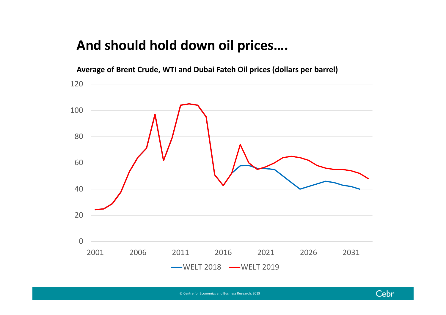## **And should hold down oil prices….**



© Centre for Economics and Business Research, 2019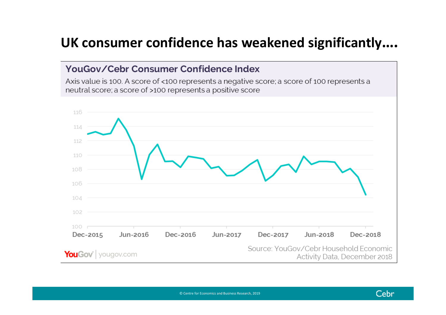# **UK consumer confidence has weakened significantly….**

#### YouGov/Cebr Consumer Confidence Index

Axis value is 100. A score of <100 represents a negative score; a score of 100 represents a neutral score; a score of >100 represents a positive score

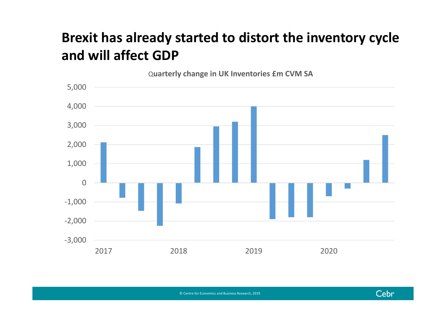# **Brexit has already started to distort the inventory cycle and will affect GDP**



Cebr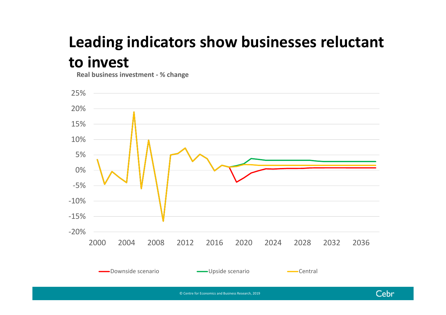# **Leading indicators show businesses reluctant to invest**

**Real business investment ‐ % change**



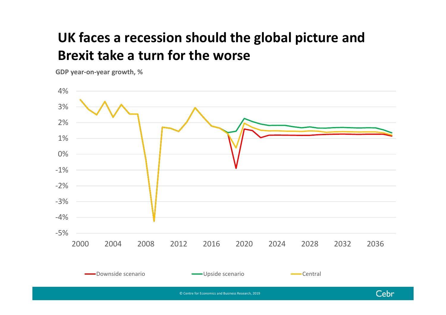# **UK faces <sup>a</sup> recession should the global picture and Brexit take a turn for the worse**

**GDP year‐on‐year growth, %**

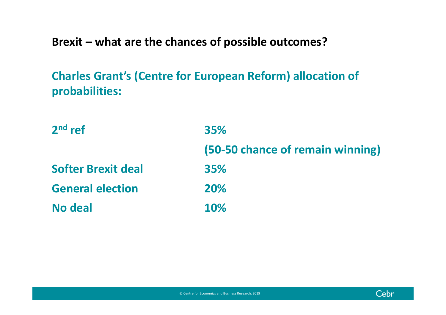**Brexit – what are the chances of possible outcomes?**

**Charles Grant's (Centre for European Reform) allocation of probabilities:**

| $2nd$ ref                 | <b>35%</b>                       |
|---------------------------|----------------------------------|
|                           | (50-50 chance of remain winning) |
| <b>Softer Brexit deal</b> | <b>35%</b>                       |
| <b>General election</b>   | <b>20%</b>                       |
| No deal                   | <b>10%</b>                       |



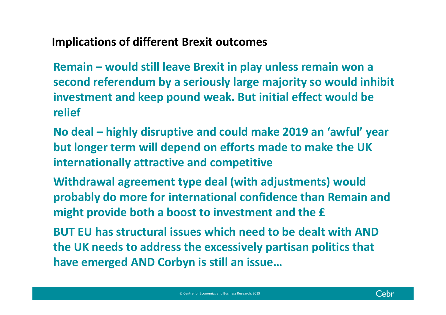**Implications of different Brexit outcomes**

**Remain – would still leave Brexit in play unless remain won <sup>a</sup> second referendum by <sup>a</sup> seriously large majority so would inhibit investment and keep pound weak. But initial effect would be relief**

**No deal – highly disruptive and could make 2019 an 'awful' year but longer term will depend on efforts made to make the UK internationally attractive and competitive**

**Withdrawal agreement type deal (with adjustments) would probably do more for international confidence than Remain and might provide both <sup>a</sup> boost to investment and the £**

**BUT EU has structural issues which need to be dealt with AND the UK needs to address the excessively partisan politics that have emerged AND Corbyn is still an issue…**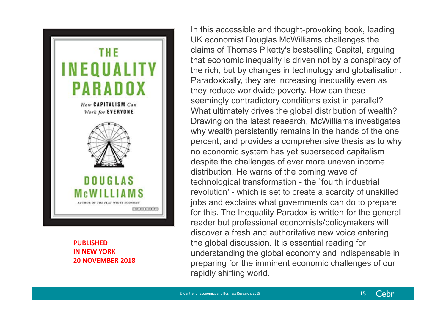

#### **PUBLISHEDIN NEW YORK 20 NOVEMBER 2018**

In this accessible and thought-provoking book, leading UK economist Douglas McWilliams challenges the claims of Thomas Piketty's bestselling Capital, arguing that economic inequality is driven not by a conspiracy of the rich, but by changes in technology and globalisation. Paradoxically, they are increasing inequality even as they reduce worldwide poverty. How can these seemingly contradictory conditions exist in parallel? What ultimately drives the global distribution of wealth? Drawing on the latest research, McWilliams investigates why wealth persistently remains in the hands of the one percent, and provides a comprehensive thesis as to why no economic system has yet superseded capitalism despite the challenges of ever more uneven income distribution. He warns of the coming wave of technological transformation - the `fourth industrial revolution' - which is set to create a scarcity of unskilled jobs and explains what governments can do to prepare for this. The Inequality Paradox is written for the general reader but professional economists/policymakers will discover a fresh and authoritative new voice entering the global discussion. It is essential reading for understanding the global economy and indispensable in preparing for the imminent economic challenges of our rapidly shifting world.

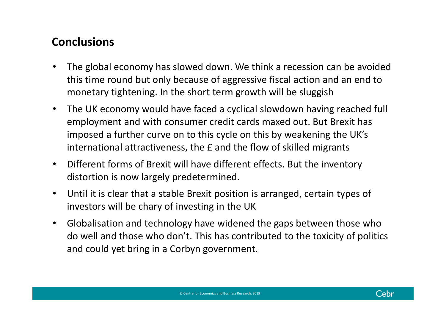### **Conclusions**

- • The global economy has slowed down. We think <sup>a</sup> recession can be avoided this time round but only because of aggressive fiscal action and an end to monetary tightening. In the short term growth will be sluggish
- • The UK economy would have faced <sup>a</sup> cyclical slowdown having reached full employment and with consumer credit cards maxed out. But Brexit has imposed <sup>a</sup> further curve on to this cycle on this by weakening the UK's international attractiveness, the £ and the flow of skilled migrants
- • Different forms of Brexit will have different effects. But the inventory distortion is now largely predetermined.
- • Until it is clear that <sup>a</sup> stable Brexit position is arranged, certain types of investors will be chary of investing in the UK
- $\bullet$  Globalisation and technology have widened the gaps between those who do well and those who don't. This has contributed to the toxicity of politics and could yet bring in <sup>a</sup> Corbyn government.